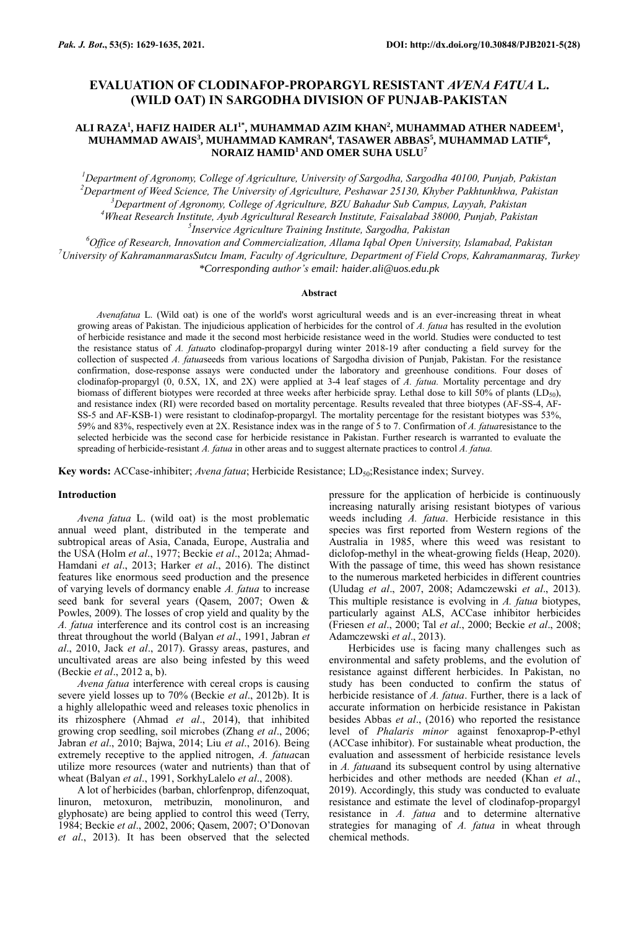# **EVALUATION OF CLODINAFOP-PROPARGYL RESISTANT** *AVENA FATUA* **L. (WILD OAT) IN SARGODHA DIVISION OF PUNJAB-PAKISTAN**

# **ALI RAZA<sup>1</sup> , HAFIZ HAIDER ALI1\*, MUHAMMAD AZIM KHAN<sup>2</sup> , MUHAMMAD ATHER NADEEM<sup>1</sup> , MUHAMMAD AWAIS<sup>3</sup> , MUHAMMAD KAMRAN<sup>4</sup> , TASAWER ABBAS<sup>5</sup> , MUHAMMAD LATIF<sup>6</sup> , NORAIZ HAMID<sup>1</sup>AND OMER SUHA USLU<sup>7</sup>**

*Department of Agronomy, College of Agriculture, University of Sargodha, Sargodha 40100, Punjab, Pakistan Department of Weed Science, The University of Agriculture, Peshawar 25130, Khyber Pakhtunkhwa, Pakistan Department of Agronomy, College of Agriculture, BZU Bahadur Sub Campus, Layyah, Pakistan Wheat Research Institute, Ayub Agricultural Research Institute, Faisalabad 38000, Punjab, Pakistan Inservice Agriculture Training Institute, Sargodha, Pakistan*

*<sup>6</sup>Office of Research, Innovation and Commercialization, Allama Iqbal Open University, Islamabad, Pakistan <sup>7</sup>University of KahramanmarasSutcu Imam, Faculty of Agriculture, Department of Field Crops, Kahramanmaraş, Turkey \*Corresponding author's email: haider.ali@uos.edu.pk*

#### **Abstract**

*Avenafatua* L. (Wild oat) is one of the world's worst agricultural weeds and is an ever-increasing threat in wheat growing areas of Pakistan. The injudicious application of herbicides for the control of *A. fatua* has resulted in the evolution of herbicide resistance and made it the second most herbicide resistance weed in the world. Studies were conducted to test the resistance status of *A. fatua*to clodinafop-propargyl during winter 2018-19 after conducting a field survey for the collection of suspected *A. fatua*seeds from various locations of Sargodha division of Punjab, Pakistan. For the resistance confirmation, dose-response assays were conducted under the laboratory and greenhouse conditions. Four doses of clodinafop-propargyl (0, 0.5X, 1X, and 2X) were applied at 3-4 leaf stages of *A. fatua.* Mortality percentage and dry biomass of different biotypes were recorded at three weeks after herbicide spray. Lethal dose to kill 50% of plants (LD<sub>50</sub>), and resistance index (RI) were recorded based on mortality percentage. Results revealed that three biotypes (AF-SS-4, AF-SS-5 and AF-KSB-1) were resistant to clodinafop-propargyl. The mortality percentage for the resistant biotypes was 53%, 59% and 83%, respectively even at 2X. Resistance index was in the range of 5 to 7. Confirmation of *A. fatua*resistance to the selected herbicide was the second case for herbicide resistance in Pakistan. Further research is warranted to evaluate the spreading of herbicide-resistant *A. fatua* in other areas and to suggest alternate practices to control *A. fatua.*

Key words: ACCase-inhibiter; *Avena fatua*; Herbicide Resistance; LD<sub>50</sub>;Resistance index; Survey.

#### **Introduction**

*Avena fatua* L. (wild oat) is the most problematic annual weed plant, distributed in the temperate and subtropical areas of Asia, Canada, Europe, Australia and the USA (Holm *et al*., 1977; Beckie *et al*., 2012a; Ahmad-Hamdani *et al*., 2013; Harker *et al*., 2016). The distinct features like enormous seed production and the presence of varying levels of dormancy enable *A. fatua* to increase seed bank for several years (Qasem, 2007; Owen & Powles, 2009). The losses of crop yield and quality by the *A. fatua* interference and its control cost is an increasing threat throughout the world (Balyan *et al*., 1991, Jabran *et al*., 2010, Jack *et al*., 2017). Grassy areas, pastures, and uncultivated areas are also being infested by this weed (Beckie *et al*., 2012 a, b).

*Avena fatua* interference with cereal crops is causing severe yield losses up to 70% (Beckie *et al*., 2012b). It is a highly allelopathic weed and releases toxic phenolics in its rhizosphere (Ahmad *et al*., 2014), that inhibited growing crop seedling, soil microbes (Zhang *et al*., 2006; Jabran *et al*., 2010; Bajwa, 2014; Liu *et al*., 2016). Being extremely receptive to the applied nitrogen, *A. fatua*can utilize more resources (water and nutrients) than that of wheat (Balyan *et al*., 1991, SorkhyLalelo *et al*., 2008).

A lot of herbicides (barban, chlorfenprop, difenzoquat, linuron, metoxuron, metribuzin, monolinuron, and glyphosate) are being applied to control this weed (Terry, 1984; Beckie *et al*., 2002, 2006; Qasem, 2007; O'Donovan *et al*., 2013). It has been observed that the selected pressure for the application of herbicide is continuously increasing naturally arising resistant biotypes of various weeds including *A. fatua*. Herbicide resistance in this species was first reported from Western regions of the Australia in 1985, where this weed was resistant to diclofop-methyl in the wheat-growing fields (Heap, 2020). With the passage of time, this weed has shown resistance to the numerous marketed herbicides in different countries (Uludag *et al*., 2007, 2008; Adamczewski *et al*., 2013). This multiple resistance is evolving in *A. fatua* biotypes, particularly against ALS, ACCase inhibitor herbicides (Friesen *et al*., 2000; Tal *et al*., 2000; Beckie *et al*., 2008; Adamczewski *et al*., 2013).

Herbicides use is facing many challenges such as environmental and safety problems, and the evolution of resistance against different herbicides. In Pakistan, no study has been conducted to confirm the status of herbicide resistance of *A. fatua*. Further, there is a lack of accurate information on herbicide resistance in Pakistan besides Abbas *et al*., (2016) who reported the resistance level of *Phalaris minor* against fenoxaprop-P-ethyl (ACCase inhibitor). For sustainable wheat production, the evaluation and assessment of herbicide resistance levels in *A. fatua*and its subsequent control by using alternative herbicides and other methods are needed (Khan *et al*., 2019). Accordingly, this study was conducted to evaluate resistance and estimate the level of clodinafop-propargyl resistance in *A. fatua* and to determine alternative strategies for managing of *A. fatua* in wheat through chemical methods.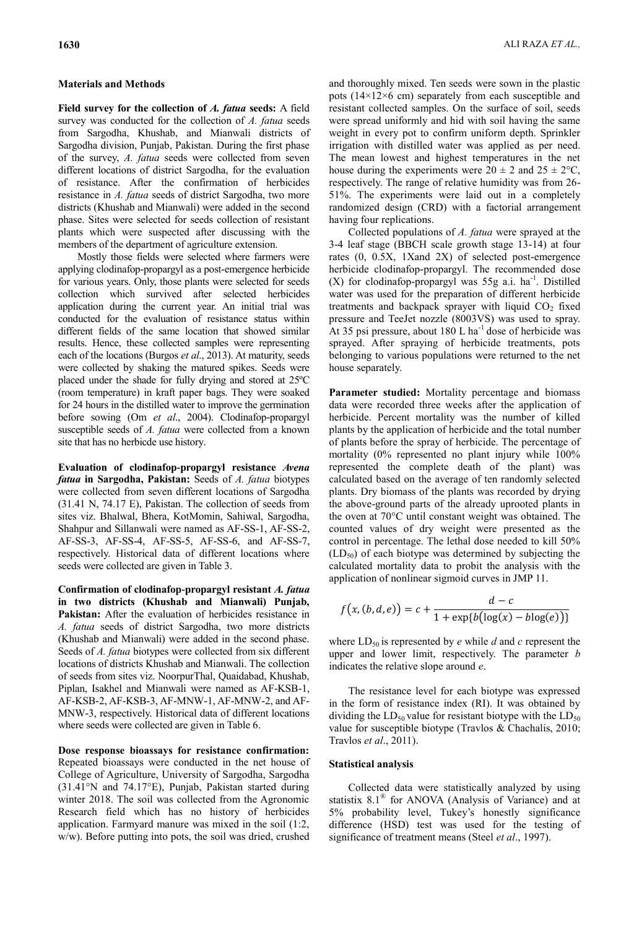## **Materials and Methods**

**Field survey for the collection of** *A. fatua* **seeds:** A field survey was conducted for the collection of *A. fatua* seeds from Sargodha, Khushab, and Mianwali districts of Sargodha division, Punjab, Pakistan. During the first phase of the survey, *A. fatua* seeds were collected from seven different locations of district Sargodha, for the evaluation of resistance. After the confirmation of herbicides resistance in *A. fatua* seeds of district Sargodha, two more districts (Khushab and Mianwali) were added in the second phase. Sites were selected for seeds collection of resistant plants which were suspected after discussing with the members of the department of agriculture extension.

Mostly those fields were selected where farmers were applying clodinafop-propargyl as a post-emergence herbicide for various years. Only, those plants were selected for seeds collection which survived after selected herbicides application during the current year. An initial trial was conducted for the evaluation of resistance status within different fields of the same location that showed similar results. Hence, these collected samples were representing each of the locations (Burgos *et al*., 2013). At maturity, seeds were collected by shaking the matured spikes. Seeds were placed under the shade for fully drying and stored at 25ºC (room temperature) in kraft paper bags. They were soaked for 24 hours in the distilled water to improve the germination before sowing (Om *et al*., 2004). Clodinafop-propargyl susceptible seeds of *A. fatua* were collected from a known site that has no herbicde use history.

**Evaluation of clodinafop-propargyl resistance** *Avena fatua* **in Sargodha, Pakistan:** Seeds of *A. fatua* biotypes were collected from seven different locations of Sargodha (31.41 N, 74.17 E), Pakistan. The collection of seeds from sites viz. Bhalwal, Bhera, KotMomin, Sahiwal, Sargodha, Shahpur and Sillanwali were named as AF-SS-1, AF-SS-2, AF-SS-3, AF-SS-4, AF-SS-5, AF-SS-6, and AF-SS-7, respectively. Historical data of different locations where seeds were collected are given in Table 3.

**Confirmation of clodinafop-propargyl resistant** *A. fatua* **in two districts (Khushab and Mianwali) Punjab,**  Pakistan: After the evaluation of herbicides resistance in *A. fatua* seeds of district Sargodha, two more districts (Khushab and Mianwali) were added in the second phase. Seeds of *A. fatua* biotypes were collected from six different locations of districts Khushab and Mianwali. The collection of seeds from sites viz. NoorpurThal, Quaidabad, Khushab, Piplan, Isakhel and Mianwali were named as AF-KSB-1, AF-KSB-2, AF-KSB-3, AF-MNW-1, AF-MNW-2, and AF-MNW-3, respectively. Historical data of different locations where seeds were collected are given in Table 6.

**Dose response bioassays for resistance confirmation:**  Repeated bioassays were conducted in the net house of College of Agriculture, University of Sargodha, Sargodha (31.41°N and 74.17°E), Punjab, Pakistan started during winter 2018. The soil was collected from the Agronomic Research field which has no history of herbicides application. Farmyard manure was mixed in the soil (1:2, w/w). Before putting into pots, the soil was dried, crushed

and thoroughly mixed. Ten seeds were sown in the plastic pots (14×12×6 cm) separately from each susceptible and resistant collected samples. On the surface of soil, seeds were spread uniformly and hid with soil having the same weight in every pot to confirm uniform depth. Sprinkler irrigation with distilled water was applied as per need. The mean lowest and highest temperatures in the net house during the experiments were  $20 \pm 2$  and  $25 \pm 2^{\circ}C$ , respectively. The range of relative humidity was from 26- 51%. The experiments were laid out in a completely randomized design (CRD) with a factorial arrangement having four replications.

Collected populations of *A. fatua* were sprayed at the 3-4 leaf stage (BBCH scale growth stage 13-14) at four rates (0, 0.5X, 1Xand 2X) of selected post-emergence herbicide clodinafop-propargyl. The recommended dose (X) for clodinafop-propargyl was  $55g$  a.i. ha<sup>-1</sup>. Distilled water was used for the preparation of different herbicide treatments and backpack sprayer with liquid  $CO<sub>2</sub>$  fixed pressure and TeeJet nozzle (8003VS) was used to spray. At 35 psi pressure, about  $180$  L ha<sup>-1</sup> dose of herbicide was sprayed. After spraying of herbicide treatments, pots belonging to various populations were returned to the net house separately.

**Parameter studied:** Mortality percentage and biomass data were recorded three weeks after the application of herbicide. Percent mortality was the number of killed plants by the application of herbicide and the total number of plants before the spray of herbicide. The percentage of mortality (0% represented no plant injury while 100% represented the complete death of the plant) was calculated based on the average of ten randomly selected plants. Dry biomass of the plants was recorded by drying the above-ground parts of the already uprooted plants in the oven at 70°C until constant weight was obtained. The counted values of dry weight were presented as the control in percentage. The lethal dose needed to kill 50%  $(LD<sub>50</sub>)$  of each biotype was determined by subjecting the calculated mortality data to probit the analysis with the application of nonlinear sigmoid curves in JMP 11.

$$
f(x,(b,d,e)) = c + \frac{d-c}{1+\exp\{b(\log(x)-b\log(e))\}}
$$

where  $LD_{50}$  is represented by *e* while *d* and *c* represent the upper and lower limit, respectively. The parameter *b* indicates the relative slope around *e*.

The resistance level for each biotype was expressed in the form of resistance index (RI). It was obtained by dividing the  $LD_{50}$  value for resistant biotype with the  $LD_{50}$ value for susceptible biotype (Travlos & Chachalis, 2010; Travlos *et al*., 2011).

## **Statistical analysis**

Collected data were statistically analyzed by using statistix 8.1® for ANOVA (Analysis of Variance) and at 5% probability level, Tukey's honestly significance difference (HSD) test was used for the testing of significance of treatment means (Steel *et al*., 1997).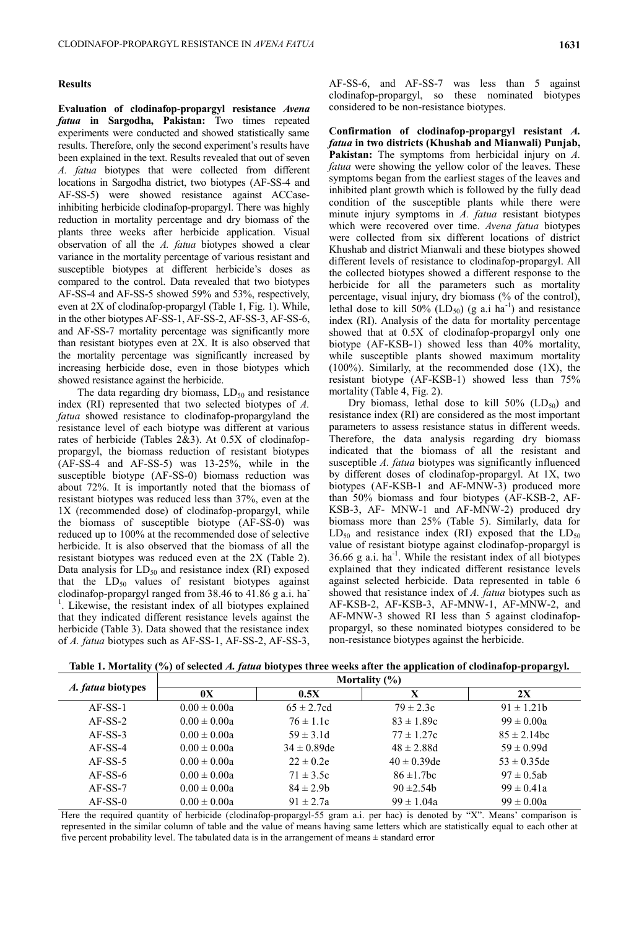### **Results**

**Evaluation of clodinafop-propargyl resistance** *Avena fatua* **in Sargodha, Pakistan:** Two times repeated experiments were conducted and showed statistically same results. Therefore, only the second experiment's results have been explained in the text. Results revealed that out of seven *A. fatua* biotypes that were collected from different locations in Sargodha district, two biotypes (AF-SS-4 and AF-SS-5) were showed resistance against ACCaseinhibiting herbicide clodinafop-propargyl. There was highly reduction in mortality percentage and dry biomass of the plants three weeks after herbicide application. Visual observation of all the *A. fatua* biotypes showed a clear variance in the mortality percentage of various resistant and susceptible biotypes at different herbicide's doses as compared to the control. Data revealed that two biotypes AF-SS-4 and AF-SS-5 showed 59% and 53%, respectively, even at 2X of clodinafop-propargyl (Table 1, Fig. 1). While, in the other biotypes AF-SS-1, AF-SS-2, AF-SS-3, AF-SS-6, and AF-SS-7 mortality percentage was significantly more than resistant biotypes even at 2X. It is also observed that the mortality percentage was significantly increased by increasing herbicide dose, even in those biotypes which showed resistance against the herbicide.

The data regarding dry biomass,  $LD_{50}$  and resistance index (RI) represented that two selected biotypes of *A. fatua* showed resistance to clodinafop-propargyland the resistance level of each biotype was different at various rates of herbicide (Tables 2&3). At 0.5X of clodinafoppropargyl, the biomass reduction of resistant biotypes (AF-SS-4 and AF-SS-5) was 13-25%, while in the susceptible biotype (AF-SS-0) biomass reduction was about 72%. It is importantly noted that the biomass of resistant biotypes was reduced less than 37%, even at the 1X (recommended dose) of clodinafop-propargyl, while the biomass of susceptible biotype (AF-SS-0) was reduced up to 100% at the recommended dose of selective herbicide. It is also observed that the biomass of all the resistant biotypes was reduced even at the 2X (Table 2). Data analysis for  $LD_{50}$  and resistance index (RI) exposed that the  $LD_{50}$  values of resistant biotypes against clodinafop-propargyl ranged from 38.46 to 41.86 g a.i. ha-<sup>1</sup>. Likewise, the resistant index of all biotypes explained that they indicated different resistance levels against the herbicide (Table 3). Data showed that the resistance index of *A. fatua* biotypes such as AF-SS-1, AF-SS-2, AF-SS-3,

AF-SS-6, and AF-SS-7 was less than 5 against clodinafop-propargyl, so these nominated biotypes considered to be non-resistance biotypes.

**Confirmation of clodinafop-propargyl resistant** *A. fatua* **in two districts (Khushab and Mianwali) Punjab, Pakistan:** The symptoms from herbicidal injury on *A. fatua* were showing the yellow color of the leaves. These symptoms began from the earliest stages of the leaves and inhibited plant growth which is followed by the fully dead condition of the susceptible plants while there were minute injury symptoms in *A. fatua* resistant biotypes which were recovered over time. *Avena fatua* biotypes were collected from six different locations of district Khushab and district Mianwali and these biotypes showed different levels of resistance to clodinafop-propargyl. All the collected biotypes showed a different response to the herbicide for all the parameters such as mortality percentage, visual injury, dry biomass (% of the control), lethal dose to kill  $50\%$  (LD<sub>50</sub>) (g a.i ha<sup>-1</sup>) and resistance index (RI). Analysis of the data for mortality percentage showed that at 0.5X of clodinafop-propargyl only one biotype (AF-KSB-1) showed less than 40% mortality, while susceptible plants showed maximum mortality  $(100\%)$ . Similarly, at the recommended dose  $(1X)$ , the resistant biotype (AF-KSB-1) showed less than 75% mortality (Table 4, Fig. 2).

Dry biomass, lethal dose to kill  $50\%$  (LD<sub>50</sub>) and resistance index (RI) are considered as the most important parameters to assess resistance status in different weeds. Therefore, the data analysis regarding dry biomass indicated that the biomass of all the resistant and susceptible *A. fatua* biotypes was significantly influenced by different doses of clodinafop-propargyl. At 1X, two biotypes (AF-KSB-1 and AF-MNW-3) produced more than 50% biomass and four biotypes (AF-KSB-2, AF-KSB-3, AF- MNW-1 and AF-MNW-2) produced dry biomass more than 25% (Table 5). Similarly, data for  $LD_{50}$  and resistance index (RI) exposed that the  $LD_{50}$ value of resistant biotype against clodinafop-propargyl is  $36.66$  g a.i. ha<sup>-1</sup>. While the resistant index of all biotypes explained that they indicated different resistance levels against selected herbicide. Data represented in table 6 showed that resistance index of *A. fatua* biotypes such as AF-KSB-2, AF-KSB-3, AF-MNW-1, AF-MNW-2, and AF-MNW-3 showed RI less than 5 against clodinafoppropargyl, so these nominated biotypes considered to be non-resistance biotypes against the herbicide.

|  | Table 1. Mortality (%) of selected A. fatua biotypes three weeks after the application of clodinafop-propargyl. |
|--|-----------------------------------------------------------------------------------------------------------------|
|  |                                                                                                                 |

|                   | Mortality $(\%)$ |                  |                  |                  |  |
|-------------------|------------------|------------------|------------------|------------------|--|
| A. fatua biotypes | 0X               | 0.5X             | X                | 2X               |  |
| $AF-SS-1$         | $0.00 \pm 0.00a$ | $65 \pm 2.7$ cd  | $79 \pm 2.3c$    | $91 \pm 1.21$    |  |
| $AF-SS-2$         | $0.00 \pm 0.00a$ | $76 \pm 1.1c$    | $83 \pm 1.89c$   | $99 \pm 0.00a$   |  |
| $AF-SS-3$         | $0.00 \pm 0.00a$ | $59 \pm 3.1d$    | $77 \pm 1.27c$   | $85 \pm 2.14$ bc |  |
| $AF-SS-4$         | $0.00 \pm 0.00a$ | $34 \pm 0.89$ de | $48 \pm 2.88$ d  | $59 \pm 0.99d$   |  |
| $AF-SS-5$         | $0.00 \pm 0.00a$ | $22 \pm 0.2e$    | $40 \pm 0.39$ de | $53 \pm 0.35$ de |  |
| $AF-SS-6$         | $0.00 \pm 0.00a$ | $71 \pm 3.5c$    | $86 \pm 1.7$ bc  | $97 \pm 0.5$ ab  |  |
| $AF-SS-7$         | $0.00 \pm 0.00a$ | $84 \pm 2.9$     | $90 \pm 2.54b$   | $99 \pm 0.41a$   |  |
| $AF-SS-0$         | $0.00 \pm 0.00a$ | $91 \pm 2.7a$    | $99 \pm 1.04a$   | $99 \pm 0.00a$   |  |

Here the required quantity of herbicide (clodinafop-propargyl-55 gram a.i. per hac) is denoted by "X". Means' comparison is represented in the similar column of table and the value of means having same letters which are statistically equal to each other at five percent probability level. The tabulated data is in the arrangement of means  $\pm$  standard error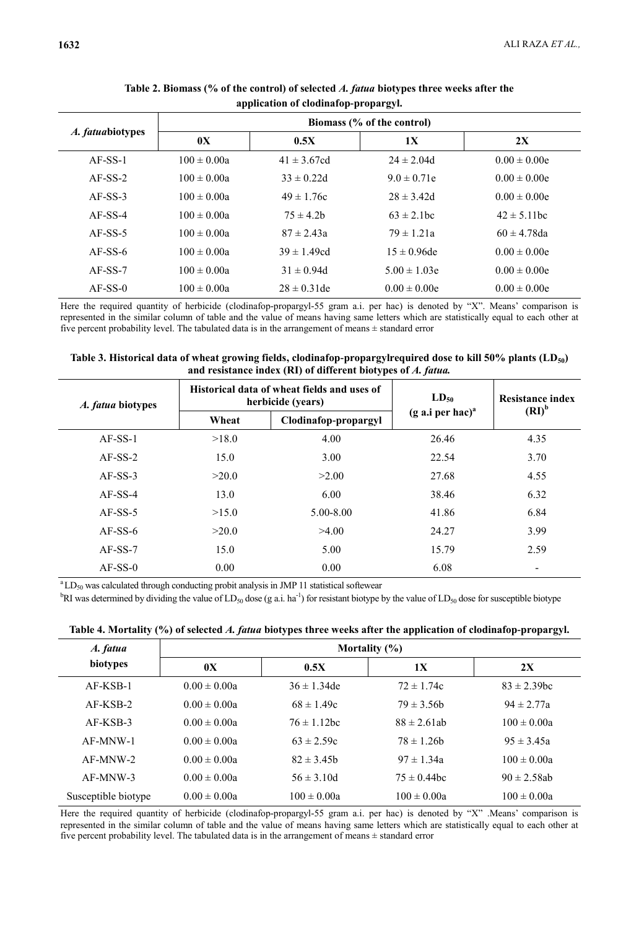| A. fatuabiotypes | Biomass (% of the control) |                  |                  |                  |  |
|------------------|----------------------------|------------------|------------------|------------------|--|
|                  | 0X                         | 0.5X             | 1X               | 2X               |  |
| $AF-SS-1$        | $100 \pm 0.00a$            | $41 \pm 3.67$ cd | $24 \pm 2.04$ d  | $0.00 \pm 0.00e$ |  |
| $AF-SS-2$        | $100 \pm 0.00a$            | $33 \pm 0.22d$   | $9.0 \pm 0.71e$  | $0.00 \pm 0.00e$ |  |
| $AF-SS-3$        | $100 \pm 0.00a$            | $49 \pm 1.76c$   | $28 \pm 3.42d$   | $0.00 \pm 0.00e$ |  |
| $AF-SS-4$        | $100 \pm 0.00a$            | $75 \pm 4.2$ b   | $63 \pm 2.1$ bc  | $42 \pm 5.11$ bc |  |
| $AF-SS-5$        | $100 \pm 0.00a$            | $87 \pm 2.43a$   | $79 \pm 1.21a$   | $60 \pm 4.78$ da |  |
| $AF-SS-6$        | $100 \pm 0.00a$            | $39 \pm 1.49$ cd | $15 \pm 0.96$ de | $0.00 \pm 0.00e$ |  |
| $AF-SS-7$        | $100 \pm 0.00a$            | $31 \pm 0.94d$   | $5.00 \pm 1.03e$ | $0.00 \pm 0.00e$ |  |
| $AF-SS-0$        | $100 \pm 0.00a$            | $28 \pm 0.31$ de | $0.00 \pm 0.00e$ | $0.00 \pm 0.00e$ |  |

**Table 2. Biomass (% of the control) of selected** *A. fatua* **biotypes three weeks after the application of clodinafop-propargyl.**

Here the required quantity of herbicide (clodinafop-propargyl-55 gram a.i. per hac) is denoted by "X". Means' comparison is represented in the similar column of table and the value of means having same letters which are statistically equal to each other at five percent probability level. The tabulated data is in the arrangement of means  $\pm$  standard error

| Table 3. Historical data of wheat growing fields, clodinafop-propargylrequired dose to kill 50% plants (LD <sub>50</sub> ) |
|----------------------------------------------------------------------------------------------------------------------------|
| and resistance index (RI) of different biotypes of A. fatua.                                                               |

| A. fatua biotypes | Historical data of wheat fields and uses of<br>herbicide (years) |                      | $LD_{50}$                   | <b>Resistance index</b> |  |
|-------------------|------------------------------------------------------------------|----------------------|-----------------------------|-------------------------|--|
|                   | Wheat                                                            | Clodinafop-propargyl | $(g \text{ a.i per hac})^a$ | $(RI)^b$                |  |
| $AF-SS-1$         | >18.0                                                            | 4.00                 | 26.46                       | 4.35                    |  |
| $AF-SS-2$         | 15.0                                                             | 3.00                 | 22.54                       | 3.70                    |  |
| $AF-SS-3$         | >20.0                                                            | >2.00                | 27.68                       | 4.55                    |  |
| $AF-SS-4$         | 13.0                                                             | 6.00                 | 38.46                       | 6.32                    |  |
| $AF-SS-5$         | >15.0                                                            | $5.00 - 8.00$        | 41.86                       | 6.84                    |  |
| $AF-SS-6$         | >20.0                                                            | >4.00                | 24.27                       | 3.99                    |  |
| $AF-SS-7$         | 15.0                                                             | 5.00                 | 15.79                       | 2.59                    |  |
| $AF-SS-0$         | 0.00                                                             | 0.00                 | 6.08                        |                         |  |

 $\rm{^{a}LD_{50}}$  was calculated through conducting probit analysis in JMP 11 statistical softewear

<sup>b</sup>RI was determined by dividing the value of LD<sub>50</sub> dose (g a.i. ha<sup>-1</sup>) for resistant biotype by the value of LD<sub>50</sub> dose for susceptible biotype

| A. fatua            | Mortality $(\% )$ |                  |                  |                  |  |
|---------------------|-------------------|------------------|------------------|------------------|--|
| biotypes            | 0X                | 0.5X             | 1X               | 2X               |  |
| $AF-KSB-1$          | $0.00 \pm 0.00a$  | $36 \pm 1.34$ de | $72 \pm 1.74c$   | $83 \pm 2.39$ bc |  |
| $AF-KSB-2$          | $0.00 \pm 0.00a$  | $68 \pm 1.49c$   | $79 \pm 3.56$    | $94 \pm 2.77a$   |  |
| $AF-KSB-3$          | $0.00 \pm 0.00a$  | $76 \pm 1.12$ bc | $88 \pm 2.61$ ab | $100 \pm 0.00a$  |  |
| $AF-MNW-1$          | $0.00 \pm 0.00a$  | $63 \pm 2.59c$   | $78 \pm 1.26$ h  | $95 \pm 3.45a$   |  |
| $AF-MNW-2$          | $0.00 \pm 0.00a$  | $82 \pm 3.45$    | $97 \pm 1.34a$   | $100 \pm 0.00a$  |  |
| $AF-MNW-3$          | $0.00 \pm 0.00a$  | $56 \pm 3.10d$   | $75 \pm 0.44$ bc | $90 \pm 2.58$ ab |  |
| Susceptible biotype | $0.00 \pm 0.00a$  | $100 \pm 0.00a$  | $100 \pm 0.00a$  | $100 \pm 0.00a$  |  |

|  | Table 4. Mortality (%) of selected A. fatua biotypes three weeks after the application of clodinafop-propargyl. |  |
|--|-----------------------------------------------------------------------------------------------------------------|--|
|  |                                                                                                                 |  |

Here the required quantity of herbicide (clodinafop-propargyl-55 gram a.i. per hac) is denoted by "X" .Means' comparison is represented in the similar column of table and the value of means having same letters which are statistically equal to each other at five percent probability level. The tabulated data is in the arrangement of means  $\pm$  standard error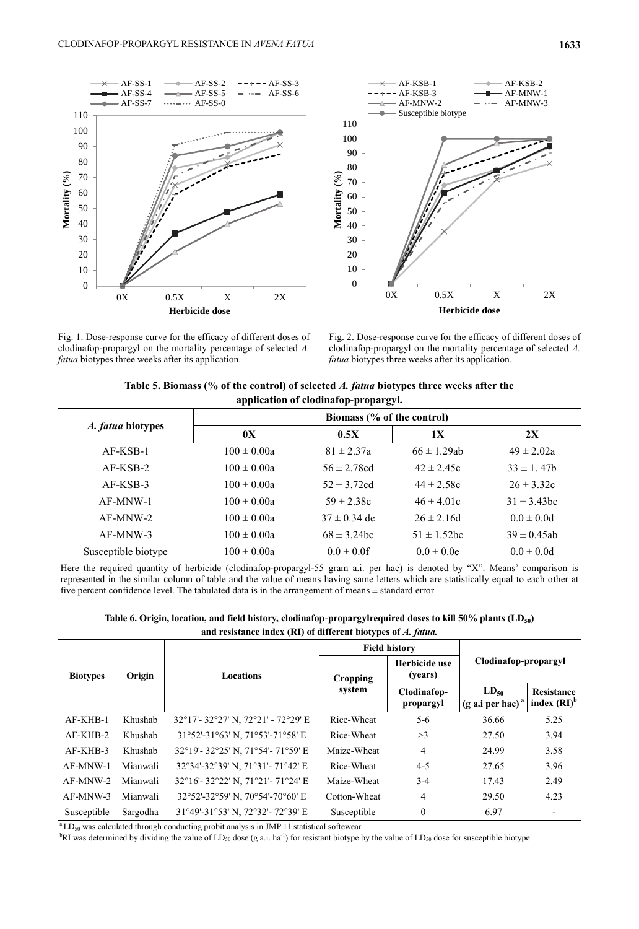



Fig. 1. Dose-response curve for the efficacy of different doses of clodinafop-propargyl on the mortality percentage of selected *A. fatua* biotypes three weeks after its application.

Fig. 2. Dose-response curve for the efficacy of different doses of clodinafop-propargyl on the mortality percentage of selected *A. fatua* biotypes three weeks after its application.

| Table 5. Biomass (% of the control) of selected A, fatua biotypes three weeks after the |
|-----------------------------------------------------------------------------------------|
| application of clodinafop-propargyl.                                                    |

| A. fatua biotypes   | Biomass (% of the control) |                  |                  |                  |  |
|---------------------|----------------------------|------------------|------------------|------------------|--|
|                     | 0X                         | 0.5X             | 1X               | 2X               |  |
| $AF-KSB-1$          | $100 \pm 0.00a$            | $81 \pm 2.37a$   | $66 \pm 1.29$ ab | $49 \pm 2.02a$   |  |
| $AF-KSB-2$          | $100 \pm 0.00a$            | $56 \pm 2.78$ cd | $42 \pm 2.45c$   | $33 \pm 1.47$    |  |
| $AF-KSB-3$          | $100 \pm 0.00a$            | $52 \pm 3.72$ cd | $44 \pm 2.58c$   | $26 \pm 3.32c$   |  |
| $AF-MNW-1$          | $100 \pm 0.00a$            | $59 \pm 2.38c$   | $46 \pm 4.01c$   | $31 \pm 3.43$ bc |  |
| $AF-MNW-2$          | $100 \pm 0.00a$            | $37 \pm 0.34$ de | $26 \pm 2.16d$   | $0.0 \pm 0.0d$   |  |
| $AF-MNW-3$          | $100 \pm 0.00a$            | $68 \pm 3.24$ bc | $51 \pm 1.52$ bc | $39 \pm 0.45$ ab |  |
| Susceptible biotype | $100 \pm 0.00a$            | $0.0 \pm 0.0$ f  | $0.0 \pm 0.0e$   | $0.0 \pm 0.0d$   |  |

Here the required quantity of herbicide (clodinafop-propargyl-55 gram a.i. per hac) is denoted by "X". Means' comparison is represented in the similar column of table and the value of means having same letters which are statistically equal to each other at five percent confidence level. The tabulated data is in the arrangement of means ± standard error

**Table 6. Origin, location, and field history, clodinafop-propargylrequired doses to kill 50% plants (LD50) and resistance index (RI) of different biotypes of** *A. fatua.*

|                           |          |                                    |                          | <b>Field history</b>                     |                              |      |
|---------------------------|----------|------------------------------------|--------------------------|------------------------------------------|------------------------------|------|
| Origin<br><b>Biotypes</b> |          | <b>Locations</b>                   | Cropping                 | Herbicide use<br>(years)                 | Clodinafop-propargyl         |      |
|                           |          | system                             | Clodinafop-<br>propargyl | $LD_{50}$<br>$(g \text{ a.i per hac})^a$ | Resistance<br>index $(RI)^b$ |      |
| $AF-KHB-1$                | Khushab  | 32°17'-32°27' N, 72°21' - 72°29' E | Rice-Wheat               | $5-6$                                    | 36.66                        | 5.25 |
| AF-KHB-2                  | Khushab  | 31°52'-31°63' N, 71°53'-71°58' E   | Rice-Wheat               | >3                                       | 27.50                        | 3.94 |
| $AF-KHB-3$                | Khushab  | 32°19'-32°25' N, 71°54'-71°59' E   | Maize-Wheat              | 4                                        | 24.99                        | 3.58 |
| AF-MNW-1                  | Mianwali | 32°34'-32°39' N, 71°31'-71°42' E   | Rice-Wheat               | $4 - 5$                                  | 27.65                        | 3.96 |
| AF-MNW-2                  | Mianwali | 32°16'-32°22' N, 71°21'-71°24' E   | Maize-Wheat              | $3-4$                                    | 17.43                        | 2.49 |
| $AF-MNW-3$                | Mianwali | 32°52'-32°59' N, 70°54'-70°60' E   | Cotton-Wheat             | 4                                        | 29.50                        | 4.23 |
| Susceptible               | Sargodha | 31°49'-31°53' N, 72°32'- 72°39' E  | Susceptible              | $\mathbf{0}$                             | 6.97                         |      |

 $\rm{a}$ LD<sub>50</sub> was calculated through conducting probit analysis in JMP 11 statistical softewear

 ${}^{b}R$ I was determined by dividing the value of LD<sub>50</sub> dose (g a.i. ha<sup>-1</sup>) for resistant biotype by the value of LD<sub>50</sub> dose for susceptible biotype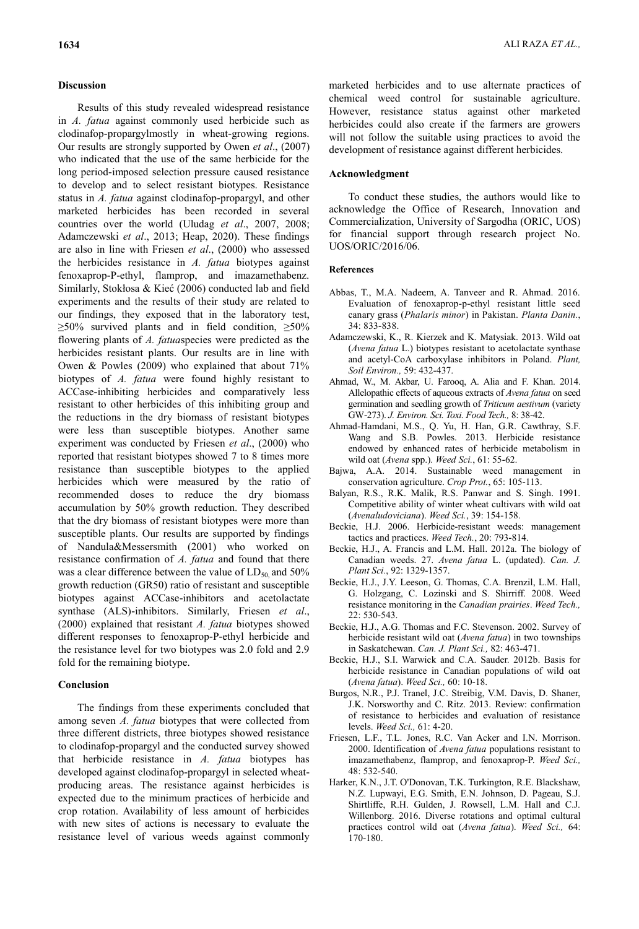## **Discussion**

Results of this study revealed widespread resistance in *A. fatua* against commonly used herbicide such as clodinafop-propargylmostly in wheat-growing regions. Our results are strongly supported by Owen *et al*., (2007) who indicated that the use of the same herbicide for the long period-imposed selection pressure caused resistance to develop and to select resistant biotypes. Resistance status in *A. fatua* against clodinafop-propargyl, and other marketed herbicides has been recorded in several countries over the world (Uludag *et al*., 2007, 2008; Adamczewski *et al*., 2013; Heap, 2020). These findings are also in line with Friesen *et al*., (2000) who assessed the herbicides resistance in *A. fatua* biotypes against fenoxaprop-P-ethyl, flamprop, and imazamethabenz. Similarly, Stokłosa & Kieć (2006) conducted lab and field experiments and the results of their study are related to our findings, they exposed that in the laboratory test,  $\geq$ 50% survived plants and in field condition,  $\geq$ 50% flowering plants of *A. fatua*species were predicted as the herbicides resistant plants. Our results are in line with Owen & Powles (2009) who explained that about 71% biotypes of *A. fatua* were found highly resistant to ACCase-inhibiting herbicides and comparatively less resistant to other herbicides of this inhibiting group and the reductions in the dry biomass of resistant biotypes were less than susceptible biotypes. Another same experiment was conducted by Friesen *et al*., (2000) who reported that resistant biotypes showed 7 to 8 times more resistance than susceptible biotypes to the applied herbicides which were measured by the ratio of recommended doses to reduce the dry biomass accumulation by 50% growth reduction. They described that the dry biomass of resistant biotypes were more than susceptible plants. Our results are supported by findings of Nandula&Messersmith (2001) who worked on resistance confirmation of *A. fatua* and found that there was a clear difference between the value of  $LD_{50}$  and 50% growth reduction (GR50) ratio of resistant and susceptible biotypes against ACCase-inhibitors and acetolactate synthase (ALS)-inhibitors. Similarly, Friesen *et al*., (2000) explained that resistant *A. fatua* biotypes showed different responses to fenoxaprop-P-ethyl herbicide and the resistance level for two biotypes was 2.0 fold and 2.9 fold for the remaining biotype.

# **Conclusion**

The findings from these experiments concluded that among seven *A. fatua* biotypes that were collected from three different districts, three biotypes showed resistance to clodinafop-propargyl and the conducted survey showed that herbicide resistance in *A. fatua* biotypes has developed against clodinafop-propargyl in selected wheatproducing areas. The resistance against herbicides is expected due to the minimum practices of herbicide and crop rotation. Availability of less amount of herbicides with new sites of actions is necessary to evaluate the resistance level of various weeds against commonly

marketed herbicides and to use alternate practices of chemical weed control for sustainable agriculture. However, resistance status against other marketed herbicides could also create if the farmers are growers will not follow the suitable using practices to avoid the development of resistance against different herbicides.

## **Acknowledgment**

To conduct these studies, the authors would like to acknowledge the Office of Research, Innovation and Commercialization, University of Sargodha (ORIC, UOS) for financial support through research project No. UOS/ORIC/2016/06.

#### **References**

- Abbas, T., M.A. Nadeem, A. Tanveer and R. Ahmad. 2016. Evaluation of fenoxaprop-p-ethyl resistant little seed canary grass (*Phalaris minor*) in Pakistan. *Planta Danin.*, 34: 833-838.
- Adamczewski, K., R. Kierzek and K. Matysiak. 2013. Wild oat (*Avena fatua* L.) biotypes resistant to acetolactate synthase and acetyl-CoA carboxylase inhibitors in Poland. *Plant, Soil Environ.,* 59: 432-437.
- Ahmad, W., M. Akbar, U. Farooq, A. Alia and F. Khan. 2014. Allelopathic effects of aqueous extracts of *Avena fatua* on seed germination and seedling growth of *Triticum aestivum* (variety GW-273). *J. Environ. Sci. Toxi. Food Tech.,* 8: 38-42.
- Ahmad-Hamdani, M.S., Q. Yu, H. Han, G.R. Cawthray, S.F. Wang and S.B. Powles. 2013. Herbicide resistance endowed by enhanced rates of herbicide metabolism in wild oat (*Avena* spp.). *Weed Sci.*, 61: 55-62.
- Bajwa, A.A. 2014. Sustainable weed management in conservation agriculture. *Crop Prot.*, 65: 105-113.
- Balyan, R.S., R.K. Malik, R.S. Panwar and S. Singh. 1991. Competitive ability of winter wheat cultivars with wild oat (*Avenaludoviciana*). *Weed Sci.*, 39: 154-158.
- Beckie, H.J. 2006. Herbicide-resistant weeds: management tactics and practices. *Weed Tech.*, 20: 793-814.
- Beckie, H.J., A. Francis and L.M. Hall. 2012a. The biology of Canadian weeds. 27. *Avena fatua* L. (updated). *Can. J. Plant Sci.*, 92: 1329-1357.
- Beckie, H.J., J.Y. Leeson, G. Thomas, C.A. Brenzil, L.M. Hall, G. Holzgang, C. Lozinski and S. Shirriff. 2008. Weed resistance monitoring in the *Canadian prairies*. *Weed Tech.,*  22: 530-543.
- Beckie, H.J., A.G. Thomas and F.C. Stevenson. 2002. Survey of herbicide resistant wild oat (*Avena fatua*) in two townships in Saskatchewan. *Can. J. Plant Sci.,* 82: 463-471.
- Beckie, H.J., S.I. Warwick and C.A. Sauder. 2012b. Basis for herbicide resistance in Canadian populations of wild oat (*Avena fatua*). *Weed Sci.,* 60: 10-18.
- Burgos, N.R., P.J. Tranel, J.C. Streibig, V.M. Davis, D. Shaner, J.K. Norsworthy and C. Ritz. 2013. Review: confirmation of resistance to herbicides and evaluation of resistance levels. *Weed Sci.,* 61: 4-20.
- Friesen, L.F., T.L. Jones, R.C. Van Acker and I.N. Morrison. 2000. Identification of *Avena fatua* populations resistant to imazamethabenz, flamprop, and fenoxaprop-P. *Weed Sci.,*  48: 532-540.
- Harker, K.N., J.T. O'Donovan, T.K. Turkington, R.E. Blackshaw, N.Z. Lupwayi, E.G. Smith, E.N. Johnson, D. Pageau, S.J. Shirtliffe, R.H. Gulden, J. Rowsell, L.M. Hall and C.J. Willenborg. 2016. Diverse rotations and optimal cultural practices control wild oat (*Avena fatua*). *Weed Sci.,* 64: 170-180.